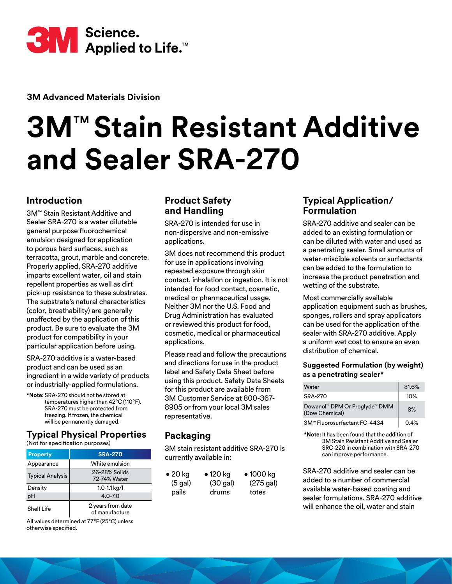

**3M Advanced Materials Division**

# **3M**™ **Stain Resistant Additive and Sealer SRA-270**

## **Introduction**

3M™ Stain Resistant Additive and Sealer SRA-270 is a water dilutable general purpose fluorochemical emulsion designed for application to porous hard surfaces, such as terracotta, grout, marble and concrete. Properly applied, SRA-270 additive imparts excellent water, oil and stain repellent properties as well as dirt pick-up resistance to these substrates. The substrate's natural characteristics (color, breathability) are generally unaffected by the application of this product. Be sure to evaluate the 3M product for compatibility in your particular application before using.

SRA-270 additive is a water-based product and can be used as an ingredient in a wide variety of products or industrially-applied formulations.

**\*Note:** SRA-270 should not be stored at temperatures higher than 42°C (110°F). SRA-270 must be protected from freezing. If frozen, the chemical will be permanently damaged.

# **Typical Physical Properties**

(Not for specification purposes)

| <b>Property</b>         | <b>SRA-270</b>                      |
|-------------------------|-------------------------------------|
| Appearance              | White emulsion                      |
| <b>Typical Analysis</b> | 26-28% Solids<br>72-74% Water       |
| Density                 | $1.0 - 1.1$ kg/l                    |
| рH                      | $4.0 - 7.0$                         |
| Shelf Life              | 2 years from date<br>of manufacture |

All values determined at 77°F (25°C) unless otherwise specified.

# **Product Safety and Handling**

SRA-270 is intended for use in non-dispersive and non-emissive applications.

3M does not recommend this product for use in applications involving repeated exposure through skin contact, inhalation or ingestion. It is not intended for food contact, cosmetic, medical or pharmaceutical usage. Neither 3M nor the U.S. Food and Drug Administration has evaluated or reviewed this product for food, cosmetic, medical or pharmaceutical applications.

Please read and follow the precautions and directions for use in the product label and Safety Data Sheet before using this product. Safety Data Sheets for this product are available from 3M Customer Service at 800-367- 8905 or from your local 3M sales representative.

# **Packaging**

3M stain resistant additive SRA-270 is currently available in:

| $\bullet$ 20 kg | $\bullet$ 120 kg | $\bullet$ 1000 kg |
|-----------------|------------------|-------------------|
| $(5$ gal)       | $(30$ gal)       | (275 gal)         |
| pails           | drums            | totes             |

## **Typical Application/ Formulation**

SRA-270 additive and sealer can be added to an existing formulation or can be diluted with water and used as a penetrating sealer. Small amounts of water-miscible solvents or surfactants can be added to the formulation to increase the product penetration and wetting of the substrate.

Most commercially available application equipment such as brushes, sponges, rollers and spray applicators can be used for the application of the sealer with SRA-270 additive. Apply a uniform wet coat to ensure an even distribution of chemical.

#### **Suggested Formulation (by weight) as a penetrating sealer\***

| Water                                           | 81.6% |
|-------------------------------------------------|-------|
| SRA-270                                         | 10%   |
| Dowanol™ DPM Or Proglyde™ DMM<br>(Dow Chemical) | 8%    |
| 3M™ Fluorosurfactant FC-4434                    | 0.4%  |

**\*Note:** It has been found that the addition of 3M Stain Resistant Additive and Sealer SRC-220 in combination with SRA-270 can improve performance.

SRA-270 additive and sealer can be added to a number of commercial available water-based coating and sealer formulations. SRA-270 additive will enhance the oil, water and stain